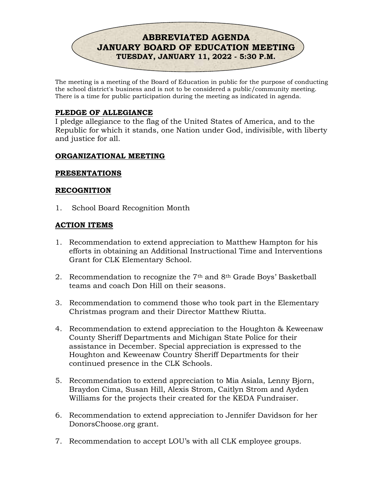

The meeting is a meeting of the Board of Education in public for the purpose of conducting the school district's business and is not to be considered a public/community meeting. There is a time for public participation during the meeting as indicated in agenda.

# PLEDGE OF ALLEGIANCE

I pledge allegiance to the flag of the United States of America, and to the Republic for which it stands, one Nation under God, indivisible, with liberty and justice for all.

### ORGANIZATIONAL MEETING

#### PRESENTATIONS

#### RECOGNITION

1. School Board Recognition Month

#### ACTION ITEMS

- 1. Recommendation to extend appreciation to Matthew Hampton for his efforts in obtaining an Additional Instructional Time and Interventions Grant for CLK Elementary School.
- 2. Recommendation to recognize the  $7<sup>th</sup>$  and  $8<sup>th</sup>$  Grade Boys' Basketball teams and coach Don Hill on their seasons.
- 3. Recommendation to commend those who took part in the Elementary Christmas program and their Director Matthew Riutta.
- 4. Recommendation to extend appreciation to the Houghton & Keweenaw County Sheriff Departments and Michigan State Police for their assistance in December. Special appreciation is expressed to the Houghton and Keweenaw Country Sheriff Departments for their continued presence in the CLK Schools.
- 5. Recommendation to extend appreciation to Mia Asiala, Lenny Bjorn, Braydon Cima, Susan Hill, Alexis Strom, Caitlyn Strom and Ayden Williams for the projects their created for the KEDA Fundraiser.
- 6. Recommendation to extend appreciation to Jennifer Davidson for her DonorsChoose.org grant.
- 7. Recommendation to accept LOU's with all CLK employee groups.